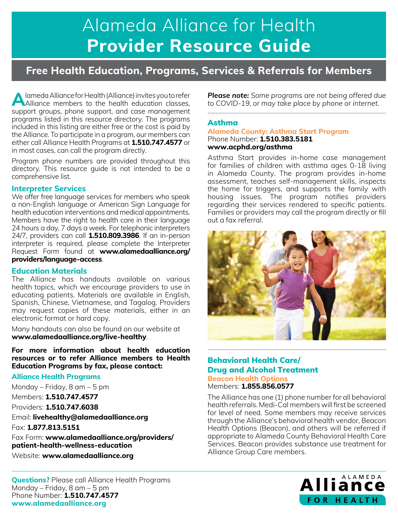# **PROVIDER Alameda Alliance for Health Provider Resource Guide**

# **Free Health Education, Programs, Services & Referrals for Members**

**A** lameda Alliance for Health (Alliance) invites you to refer Alliance members to the health education classes, support groups, phone support, and case management programs listed in this resource directory. The programs included in this listing are either free or the cost is paid by the Alliance. To participate in a program, our members can either call Alliance Health Programs at **1.510.747.4577** or in most cases, can call the program directly.

Program phone numbers are provided throughout this directory. This resource guide is not intended to be a comprehensive list.

#### **Interpreter Services**

We offer free language services for members who speak a non-English language or American Sign Language for health education interventions and medical appointments. Members have the right to health care in their language 24 hours a day, 7 days a week. For telephonic interpreters 24/7, providers can call **1.510.809.3986**. If an in-person interpreter is required, please complete the Interpreter Request Form found at **[www.alamedaalliance.org/](http://www.alamedaalliance.org/providers/language-access) [providers/language-access](http://www.alamedaalliance.org/providers/language-access)**.

## **Education Materials**

The Alliance has handouts available on various health topics, which we encourage providers to use in educating patients. Materials are available in English, Spanish, Chinese, Vietnamese, and Tagalog. Providers may request copies of these materials, either in an electronic format or hard copy.

Many handouts can also be found on our website at **www.[alamedaalliance.org/live](http://www.alamedaalliance.org/live-healthy)-healthy**.

**For more information about health education resources or to refer Alliance members to Health Education Programs by fax, please contact:**

## **Alliance Health Programs**

Monday – Friday, 8 am – 5 pm

Members: **1.510.747.4577**

Providers: **1.510.747.6038**

Email: **[livehealthy@alamedaalliance.org](mailto:livehealthy%40alamedaalliance.org?subject=)**

Fax: **1.877.813.5151** 

Fax Form: **[www.alamedaalliance.org/providers/](http://www.alamedaalliance.org/providers/patient-health-wellness-education) [patient-health-wellness-education](http://www.alamedaalliance.org/providers/patient-health-wellness-education)**

Website: **www.a[lamedaalliance.org](http://www.alamedaalliance.org)**

*Please note: Some programs are not being offered due to COVID-19, or may take place by phone or internet.*

# Asthma

**Alameda County: Asthma Start Program** Phone Number: **1.510.383.5181 www.[acphd.org/asthma](http://www.acphd.org/asthma)** 

Asthma Start provides in-home case management for families of children with asthma ages 0-18 living in Alameda County. The program provides in-home assessment, teaches self-management skills, inspects the home for triggers, and supports the family with housing issues. The program notifies providers regarding their services rendered to specific patients. Families or providers may call the program directly or fill out a fax referral.



# Behavioral Health Care/ Drug and Alcohol Treatment **Beacon Health Options**

Members: **1.855.856.0577**

The Alliance has one (1) phone number for all behavioral health referrals. Medi-Cal members will first be screened for level of need. Some members may receive services through the Alliance's behavioral health vendor, Beacon Health Options (Beacon), and others will be referred if appropriate to Alameda County Behavioral Health Care Services. Beacon provides substance use treatment for Alliance Group Care members.

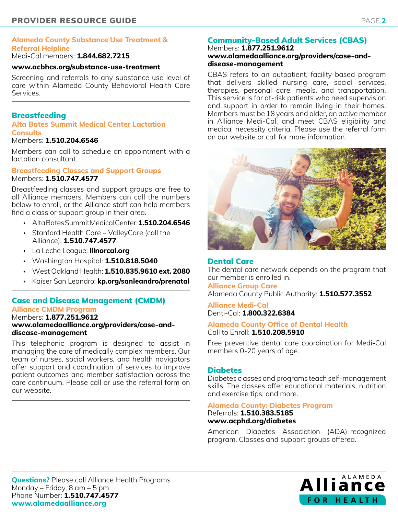# **Alameda County Substance Use Treatment & Referral Helpline**

## Medi-Cal members: **1.844.682.7215**

#### **[www.acbhcs.org/substance-use-treatment](http://www.acbhcs.org/substance-use-treatment)**

Screening and referrals to any substance use level of care within Alameda County Behavioral Health Care Services.

# **Breastfeeding**

#### **Alta Bates Summit Medical Center Lactation Consults**

#### Members: **1.510.204.6546**

Members can call to schedule an appointment with a lactation consultant.

#### **Breastfeeding Classes and Support Groups** Members: **1.510.747.4577**

Breastfeeding classes and support groups are free to all Alliance members. Members can call the numbers below to enroll, or the Alliance staff can help members find a class or support group in their area.

- Alta Bates Summit Medical Center: **1.510.204.6546**
- Stanford Health Care ValleyCare (call the Alliance): **1.510.747.4577**
- La Leche League: **[lllnorcal.org](http://lllnorcal.org)**
- Washington Hospital: **1.510.818.5040**
- West Oakland Health: **1.510.835.9610 ext. 2080**
- Kaiser San Leandro: **[kp.org/sanleandro/prenatal](https://thrive.kaiserpermanente.org/care-near-you/northern-california/gsaa/health-resources/pregnancy-and-new-baby/?kp_shortcut_referrer=kp.org/sanleandro/prenatal)**

#### Case and Disease Management (CMDM) **Alliance CMDM Program** Members: **1.877.251.9612 [www.alamedaalliance.org/providers/case-and](http://www.alamedaalliance.org/providers/case-and-disease-management/)[disease-management](http://www.alamedaalliance.org/providers/case-and-disease-management/)**

This telephonic program is designed to assist in managing the care of medically complex members. Our team of nurses, social workers, and health navigators offer support and coordination of services to improve patient outcomes and member satisfaction across the care continuum. Please call or use the referral form on our website.

#### Community-Based Adult Services (CBAS) Members: **1.877.251.9612**

# **[www.alamedaalliance.org/providers/case-and](http://www.alamedaalliance.org/providers/case-and-disease-management)[disease-management](http://www.alamedaalliance.org/providers/case-and-disease-management)**

CBAS refers to an outpatient, facility-based program that delivers skilled nursing care, social services, therapies, personal care, meals, and transportation. This service is for at-risk patients who need supervision and support in order to remain living in their homes. Members must be 18 years and older, an active member in Alliance Medi-Cal, and meet CBAS eligibility and medical necessity criteria. Please use the referral form on our website or call for more information.



#### Dental Care

The dental care network depends on the program that our member is enrolled in. **Alliance Group Care** Alameda County Public Authority: **1.510.577.3552**

**Alliance Medi-Cal**  Denti-Cal: **1.800.322.6384**

#### **Alameda County Office of Dental Health**  Call to Enroll: **1.510.208.5910**

Free preventive dental care coordination for Medi-Cal members 0-20 years of age.

#### Diabetes

Diabetes classes and programs teach self-management skills. The classes offer educational materials, nutrition and exercise tips, and more.

#### **Alameda County: Diabetes Program**

Referrals: **1.510.383.5185 www.[acphd.org/diabetes](http://www.acphd.org/diabetes)**

American Diabetes Association (ADA)-recognized program. Classes and support groups offered.

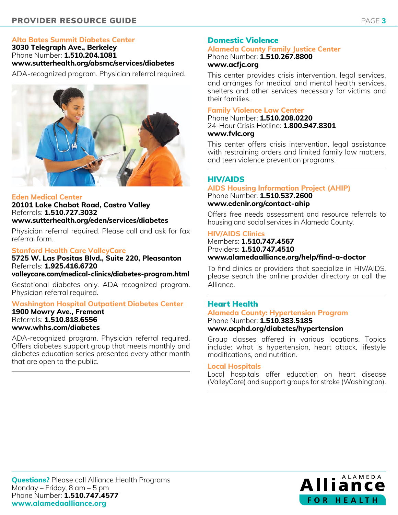# **Alta Bates Summit Diabetes Center**

**3030 Telegraph Ave., Berkeley**  Phone Number: **1.510.204.1081 [www.sutterhealth.org/absmc/services/diabetes](http://www.sutterhealth.org/absmc/services/diabetes)**

ADA-recognized program. Physician referral required.



# **Eden Medical Center**

**20101 Lake Chabot Road, Castro Valley** Referrals: **1.510.727.3032 [www.sutterhealth.org/eden/services/diabetes](http://www.sutterhealth.org/eden/services/diabetes)**

Physician referral required. Please call and ask for fax referral form.

# **Stanford Health Care ValleyCare**

**5725 W. Las Positas Blvd., Suite 220, Pleasanton** Referrals: **1.925.416.6720**

**[valleycare.com/medical-clinics/diabetes-program.html](http://valleycare.com/medical-clinics/diabetes-program.html)**

Gestational diabetes only. ADA-recognized program. Physician referral required.

# **Washington Hospital Outpatient Diabetes Center**

#### **1900 Mowry Ave., Fremont**  Referrals: **1.510.818.6556 [www.whhs.com/diabetes](http://www.whhs.com/diabetes)**

ADA-recognized program. Physician referral required. Offers diabetes support group that meets monthly and diabetes education series presented every other month that are open to the public.

# Domestic Violence

#### **Alameda County Family Justice Center** Phone Number: **1.510.267.8800 www.[acfjc.org](http://www.acfjc.org)**

This center provides crisis intervention, legal services, and arranges for medical and mental health services, shelters and other services necessary for victims and their families.

# **Family Violence Law Center**

Phone Number: **1.510.208.0220**  24-Hour Crisis Hotline: **1.800.947.8301 www.[fvlc.org](http://www.fvlc.org)** 

This center offers crisis intervention, legal assistance with restraining orders and limited family law matters, and teen violence prevention programs.

# HIV/AIDS

#### **AIDS Housing Information Project (AHIP)** Phone Number: **1.510.537.2600 [www.edenir.org/contact-ahip](http://www.edenir.org/contact-ahip)**

Offers free needs assessment and resource referrals to housing and social services in Alameda County.

#### **HIV/AIDS Clinics**

Members: **1.510.747.4567** Providers: **1.510.747.4510 [www.alamedaalliance.org/help/find-a-doctor](http://www.alamedaalliance.org/help/find-a-doctor)** 

To find clinics or providers that specialize in HIV/AIDS, please search the online provider directory or call the Alliance.

# Heart Health

#### **Alameda County: Hypertension Program** Phone Number: **1.510.383.5185 [www.acphd.org/diabetes/hypertension](http://www.acphd.org/diabetes/hypertension)**

Group classes offered in various locations. Topics include: what is hypertension, heart attack, lifestyle modifications, and nutrition.

#### **Local Hospitals**

Local hospitals offer education on heart disease (ValleyCare) and support groups for stroke (Washington).

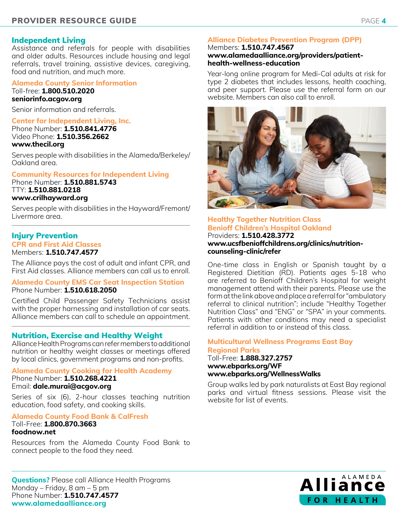## Independent Living

Assistance and referrals for people with disabilities and older adults. Resources include housing and legal referrals, travel training, assistive devices, caregiving, food and nutrition, and much more.

#### **Alameda County Senior Information** Toll-free: **1.800.510.2020**

**[seniorinfo.acgov.org](http://seniorinfo.acgov.org)**

Senior information and referrals.

#### **Center for Independent Living, Inc.**

Phone Number: **1.510.841.4776** Video Phone: **1.510.356.2662 [www.thecil.org](http://www.thecil.org)**

Serves people with disabilities in the Alameda/Berkeley/ Oakland area.

#### **Community Resources for Independent Living**

Phone Number: **1.510.881.5743**  TTY: **1.510.881.0218 www[.crilhayward.org](http://www.crilhayward.org)** 

#### Serves people with disabilities in the Hayward/Fremont/ Livermore area.

# Injury Prevention

**CPR and First Aid Classes**

Members: **1.510.747.4577**

The Alliance pays the cost of adult and infant CPR, and First Aid classes. Alliance members can call us to enroll.

#### **Alameda County EMS Car Seat Inspection Station** Phone Number: **1.510.618.2050**

Certified Child Passenger Safety Technicians assist with the proper harnessing and installation of car seats. Alliance members can call to schedule an appointment.

## Nutrition, Exercise and Healthy Weight

Alliance Health Programs can refer members to additional nutrition or healthy weight classes or meetings offered by local clinics, government programs and non-profits.

#### **Alameda County Cooking for Health Academy**

Phone Number: **1.510.268.4221** Email: **[dale.murai@acgov.org](mailto:dale.murai%40acgov.org?subject=)** 

Series of six (6), 2-hour classes teaching nutrition education, food safety, and cooking skills.

# **Alameda County Food Bank & CalFresh**

#### Toll-Free: **1.800.870.3663 [foodnow.net](http://foodnow.net)**

Resources from the Alameda County Food Bank to connect people to the food they need.

## **Alliance Diabetes Prevention Program (DPP)**

#### Members: **1.510.747.4567 [www.alamedaalliance.org/providers/patient](http://www.alamedaalliance.org/providers/patient-health-wellness-education)[health-wellness-education](http://www.alamedaalliance.org/providers/patient-health-wellness-education)**

Year-long online program for Medi-Cal adults at risk for type 2 diabetes that includes lessons, health coaching, and peer support. Please use the referral form on our website. Members can also call to enroll.



#### **Healthy Together Nutrition Class Benioff Children's Hospital Oakland** Providers: **1.510.428.3772 [www.ucsfbenioffchildrens.org/clinics/nutrition](http://www.ucsfbenioffchildrens.org/clinics/nutrition-counseling-clinic/refer)[counseling-clinic/refer](http://www.ucsfbenioffchildrens.org/clinics/nutrition-counseling-clinic/refer)**

One-time class in English or Spanish taught by a Registered Dietitian (RD). Patients ages 5-18 who are referred to Benioff Children's Hospital for weight management attend with their parents. Please use the form at the link above and place a referral for "ambulatory referral to clinical nutrition"; include "Healthy Together Nutrition Class" and "ENG" or "SPA" in your comments. Patients with other conditions may need a specialist referral in addition to or instead of this class.

## **Multicultural Wellness Programs East Bay Regional Parks**

Toll-Free: **1.888.327.2757 [www.ebparks.org/WF](http://www.ebparks.org/WF) [www.ebparks.org/WellnessWalks](http://www.ebparks.org/WellnessWalks)**

Group walks led by park naturalists at East Bay regional parks and virtual fitness sessions. Please visit the website for list of events.

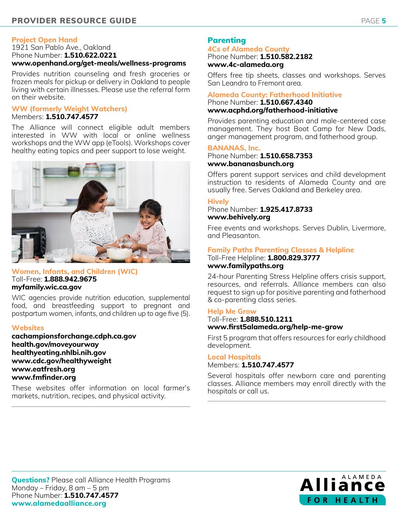#### **Project Open Hand**

1921 San Pablo Ave., Oakland Phone Number: **1.510.622.0221 [www.openhand.org/get-meals/wellness-programs](http://www.openhand.org/get-meals/wellness-programs)**

Provides nutrition counseling and fresh groceries or frozen meals for pickup or delivery in Oakland to people living with certain illnesses. Please use the referral form on their website.

#### **WW (formerly Weight Watchers)** Members: **1.510.747.4577**

The Alliance will connect eligible adult members interested in WW with local or online wellness workshops and the WW app (eTools). Workshops cover healthy eating topics and peer support to lose weight.



#### **Women, Infants, and Children (WIC)**  Toll-Free: **1.888.942.9675 [myfamily.wic.ca.gov](http://myfamily.wic.ca.gov)**

WIC agencies provide nutrition education, supplemental food, and breastfeeding support to pregnant and postpartum women, infants, and children up to age five (5).

#### **Websites**

**[cachampionsforchange.cdph.ca.gov](http://cachampionsforchange.cdph.ca.gov)  [health.gov/moveyourway](http://health.gov/moveyourway) [healthyeating.nhlbi.nih.gov](http://healthyeating.nhlbi.nih.gov) www[.cdc.gov/healthyw](http://www.cdc.gov/healthyliving)eight www.eatfresh.org www.fmfinder.org**

These websites offer information on local farmer's markets, nutrition, recipes, and physical activity.

# Parenting

#### **4Cs of Alameda County**  Phone Number: **1.510.582.2182 www.[4c-alameda.org](http://www.4c-alameda.org)**

Offers free tip sheets, classes and workshops. Serves San Leandro to Fremont area.

#### **Alameda County: Fatherhood Initiative** Phone Number: **1.510.667.4340 [www.acphd.org/fatherhood-initiative](http://www.acphd.org/fatherhood-initiative)**

Provides parenting education and male-centered case management. They host Boot Camp for New Dads, anger management program, and fatherhood group.

#### **BANANAS, Inc.**

Phone Number: **1.510.658.7353 www.[bananasbunch.org](http://www.bananasbunch.org)** 

Offers parent support services and child development instruction to residents of Alameda County and are usually free. Serves Oakland and Berkeley area.

#### **Hively**

Phone Number: **1.925.417.8733 www.behivel[y.org](http://www.childcarelinks.org)** 

Free events and workshops. Serves Dublin, Livermore, and Pleasanton.

## **Family Paths Parenting Classes & Helpline**

Toll-Free Helpline: **1.800.829.3777 www.[familypaths.org](http://www.familypaths.org)** 

24-hour Parenting Stress Helpline offers crisis support, resources, and referrals. Alliance members can also request to sign up for positive parenting and fatherhood & co-parenting class series.

#### **Help Me Grow**

# Toll-Free: **1.888.510.1211 www.[first5alameda.org/help](http://www.first5alameda.org/help-me-grow)-me-grow**

First 5 program that offers resources for early childhood development.

#### **Local Hospitals** Members: **1.510.747.4577**

Several hospitals offer newborn care and parenting classes. Alliance members may enroll directly with the hospitals or call us.